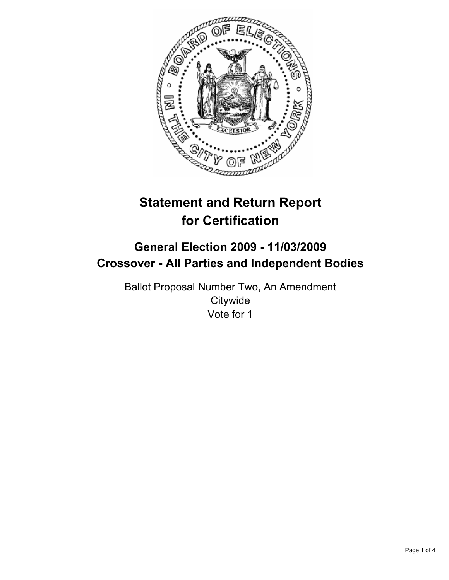

# **Statement and Return Report for Certification**

# **General Election 2009 - 11/03/2009 Crossover - All Parties and Independent Bodies**

Ballot Proposal Number Two, An Amendment **Citywide** Vote for 1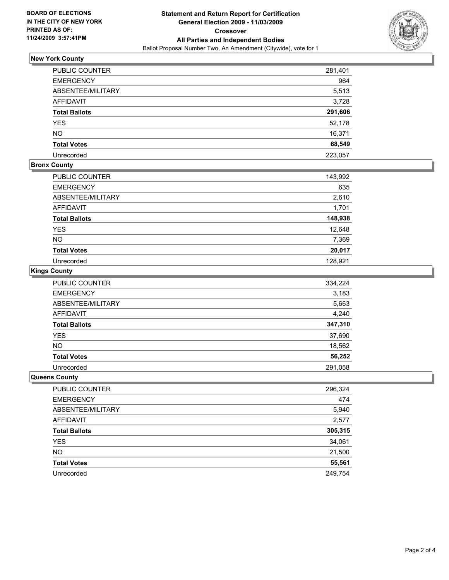

# **New York County**

| PUBLIC COUNTER       | 281,401 |
|----------------------|---------|
| <b>EMERGENCY</b>     | 964     |
| ABSENTEE/MILITARY    | 5,513   |
| <b>AFFIDAVIT</b>     | 3,728   |
| <b>Total Ballots</b> | 291,606 |
| <b>YES</b>           | 52,178  |
| <b>NO</b>            | 16,371  |
| <b>Total Votes</b>   | 68,549  |
| Unrecorded           | 223,057 |

#### **Bronx County**

| PUBLIC COUNTER       | 143,992 |
|----------------------|---------|
| <b>EMERGENCY</b>     | 635     |
| ABSENTEE/MILITARY    | 2,610   |
| <b>AFFIDAVIT</b>     | 1,701   |
| <b>Total Ballots</b> | 148,938 |
| <b>YES</b>           | 12,648  |
| <b>NO</b>            | 7,369   |
| <b>Total Votes</b>   | 20,017  |
| Unrecorded           | 128.921 |

#### **Kings County**

| <b>PUBLIC COUNTER</b> | 334,224 |
|-----------------------|---------|
| <b>EMERGENCY</b>      | 3,183   |
| ABSENTEE/MILITARY     | 5,663   |
| AFFIDAVIT             | 4,240   |
| <b>Total Ballots</b>  | 347,310 |
| YES                   | 37,690  |
| <b>NO</b>             | 18,562  |
| <b>Total Votes</b>    | 56,252  |
| Unrecorded            | 291,058 |

#### **Queens County**

| PUBLIC COUNTER       | 296,324 |
|----------------------|---------|
| <b>EMERGENCY</b>     | 474     |
| ABSENTEE/MILITARY    | 5,940   |
| AFFIDAVIT            | 2,577   |
| <b>Total Ballots</b> | 305,315 |
| <b>YES</b>           | 34,061  |
| <b>NO</b>            | 21,500  |
| <b>Total Votes</b>   | 55,561  |
| Unrecorded           | 249,754 |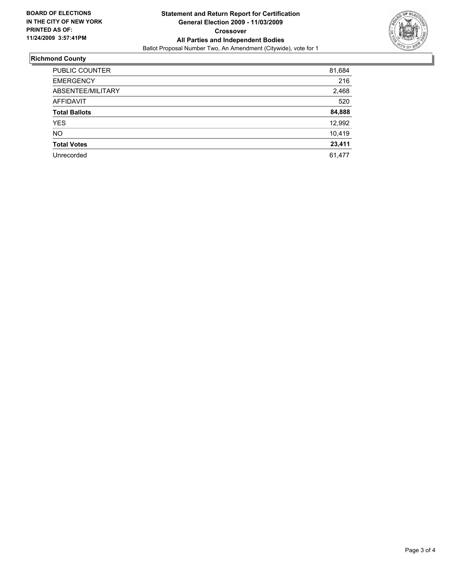

# **Richmond County**

| PUBLIC COUNTER       | 81,684 |
|----------------------|--------|
| <b>EMERGENCY</b>     | 216    |
| ABSENTEE/MILITARY    | 2,468  |
| <b>AFFIDAVIT</b>     | 520    |
| <b>Total Ballots</b> | 84,888 |
| <b>YES</b>           | 12,992 |
| <b>NO</b>            | 10,419 |
| <b>Total Votes</b>   | 23,411 |
| Unrecorded           | 61.477 |